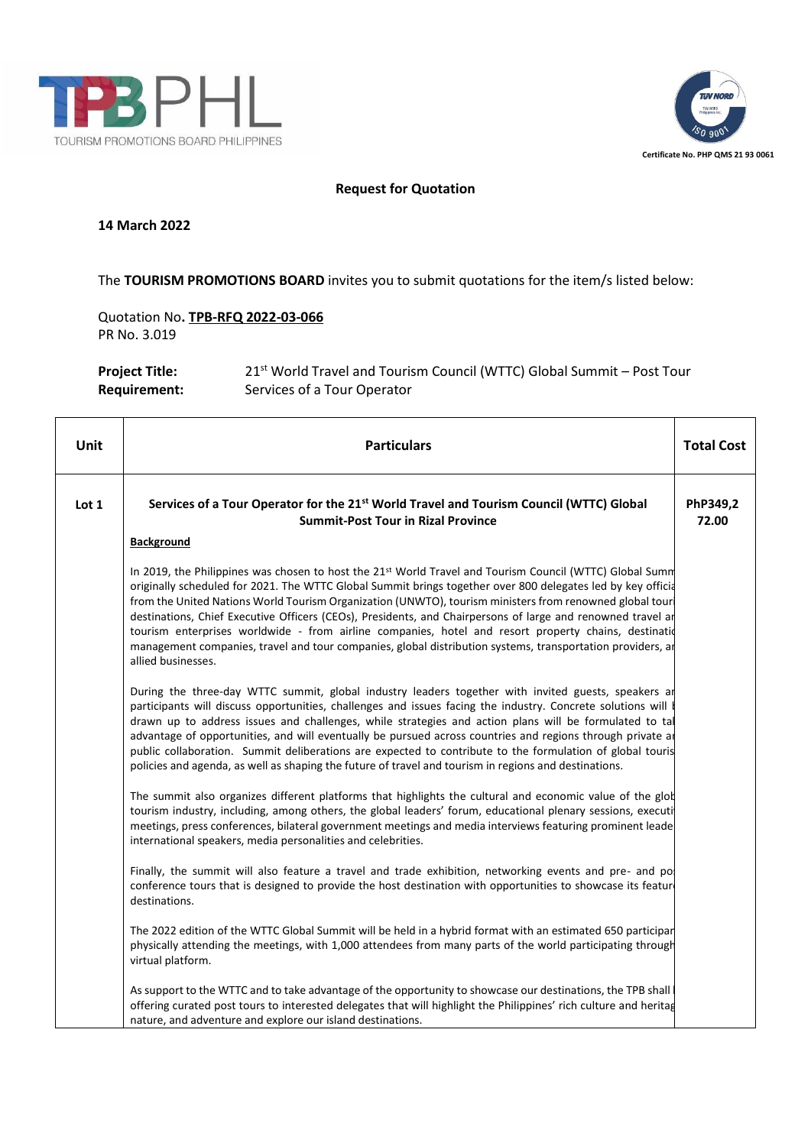



## **Request for Quotation**

#### **14 March 2022**

### The **TOURISM PROMOTIONS BOARD** invites you to submit quotations for the item/s listed below:

Quotation No**. TPB-RFQ 2022-03-066** PR No. 3.019

**Project Title:** 21<sup>st</sup> World Travel and Tourism Council (WTTC) Global Summit – Post Tour **Requirement:** Services of a Tour Operator

| Unit  | <b>Particulars</b>                                                                                                                                                                                                                                                                                                                                                                                                                                                                                                                                                                                                                                                                             | <b>Total Cost</b> |
|-------|------------------------------------------------------------------------------------------------------------------------------------------------------------------------------------------------------------------------------------------------------------------------------------------------------------------------------------------------------------------------------------------------------------------------------------------------------------------------------------------------------------------------------------------------------------------------------------------------------------------------------------------------------------------------------------------------|-------------------|
| Lot 1 | Services of a Tour Operator for the 21 <sup>st</sup> World Travel and Tourism Council (WTTC) Global<br><b>Summit-Post Tour in Rizal Province</b>                                                                                                                                                                                                                                                                                                                                                                                                                                                                                                                                               | PhP349,2<br>72.00 |
|       | <b>Background</b>                                                                                                                                                                                                                                                                                                                                                                                                                                                                                                                                                                                                                                                                              |                   |
|       | In 2019, the Philippines was chosen to host the 21st World Travel and Tourism Council (WTTC) Global Summ<br>originally scheduled for 2021. The WTTC Global Summit brings together over 800 delegates led by key officia<br>from the United Nations World Tourism Organization (UNWTO), tourism ministers from renowned global tour<br>destinations, Chief Executive Officers (CEOs), Presidents, and Chairpersons of large and renowned travel ar<br>tourism enterprises worldwide - from airline companies, hotel and resort property chains, destination<br>management companies, travel and tour companies, global distribution systems, transportation providers, ar<br>allied businesses. |                   |
|       | During the three-day WTTC summit, global industry leaders together with invited guests, speakers ar<br>participants will discuss opportunities, challenges and issues facing the industry. Concrete solutions will<br>drawn up to address issues and challenges, while strategies and action plans will be formulated to tal<br>advantage of opportunities, and will eventually be pursued across countries and regions through private are<br>public collaboration. Summit deliberations are expected to contribute to the formulation of global touris<br>policies and agenda, as well as shaping the future of travel and tourism in regions and destinations.                              |                   |
|       | The summit also organizes different platforms that highlights the cultural and economic value of the glot<br>tourism industry, including, among others, the global leaders' forum, educational plenary sessions, executi<br>meetings, press conferences, bilateral government meetings and media interviews featuring prominent leade<br>international speakers, media personalities and celebrities.                                                                                                                                                                                                                                                                                          |                   |
|       | Finally, the summit will also feature a travel and trade exhibition, networking events and pre- and po<br>conference tours that is designed to provide the host destination with opportunities to showcase its feature<br>destinations.                                                                                                                                                                                                                                                                                                                                                                                                                                                        |                   |
|       | The 2022 edition of the WTTC Global Summit will be held in a hybrid format with an estimated 650 participar<br>physically attending the meetings, with 1,000 attendees from many parts of the world participating through<br>virtual platform.                                                                                                                                                                                                                                                                                                                                                                                                                                                 |                   |
|       | As support to the WTTC and to take advantage of the opportunity to showcase our destinations, the TPB shall<br>offering curated post tours to interested delegates that will highlight the Philippines' rich culture and heritag<br>nature, and adventure and explore our island destinations.                                                                                                                                                                                                                                                                                                                                                                                                 |                   |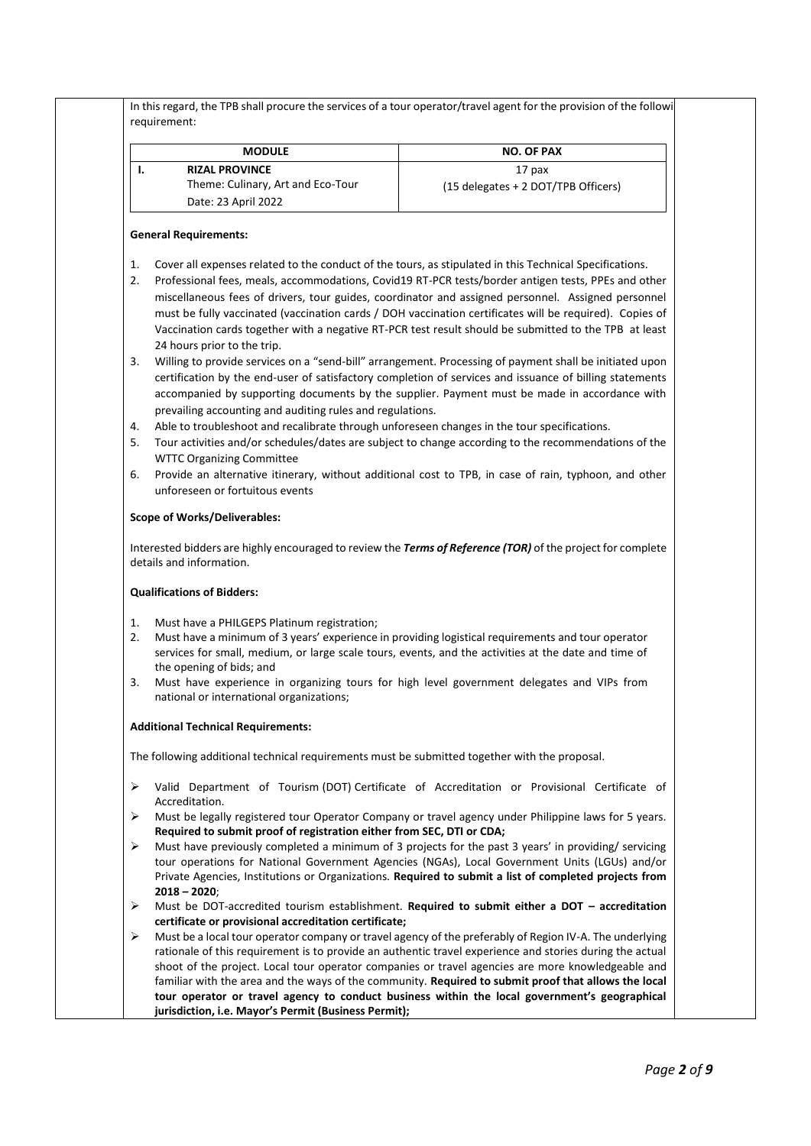| <b>RIZAL PROVINCE</b><br>17 pax<br>Theme: Culinary, Art and Eco-Tour<br>(15 delegates + 2 DOT/TPB Officers)<br>Date: 23 April 2022<br><b>General Requirements:</b><br>Cover all expenses related to the conduct of the tours, as stipulated in this Technical Specifications.<br>Professional fees, meals, accommodations, Covid19 RT-PCR tests/border antigen tests, PPEs and other<br>miscellaneous fees of drivers, tour guides, coordinator and assigned personnel. Assigned personnel<br>must be fully vaccinated (vaccination cards / DOH vaccination certificates will be required). Copies of<br>Vaccination cards together with a negative RT-PCR test result should be submitted to the TPB at least<br>24 hours prior to the trip.<br>Willing to provide services on a "send-bill" arrangement. Processing of payment shall be initiated upon<br>certification by the end-user of satisfactory completion of services and issuance of billing statements<br>accompanied by supporting documents by the supplier. Payment must be made in accordance with<br>prevailing accounting and auditing rules and regulations.<br>Able to troubleshoot and recalibrate through unforeseen changes in the tour specifications.<br>Tour activities and/or schedules/dates are subject to change according to the recommendations of the<br><b>WTTC Organizing Committee</b><br>Provide an alternative itinerary, without additional cost to TPB, in case of rain, typhoon, and other<br>unforeseen or fortuitous events<br><b>Scope of Works/Deliverables:</b><br>Interested bidders are highly encouraged to review the Terms of Reference (TOR) of the project for complete<br>details and information.<br><b>Qualifications of Bidders:</b><br>Must have a PHILGEPS Platinum registration;<br>Must have a minimum of 3 years' experience in providing logistical requirements and tour operator<br>services for small, medium, or large scale tours, events, and the activities at the date and time of<br>the opening of bids; and<br>Must have experience in organizing tours for high level government delegates and VIPs from<br>national or international organizations;<br><b>Additional Technical Requirements:</b><br>The following additional technical requirements must be submitted together with the proposal.<br>Valid Department of Tourism (DOT) Certificate of Accreditation or Provisional Certificate of<br>Accreditation.<br>Must be legally registered tour Operator Company or travel agency under Philippine laws for 5 years.<br>Required to submit proof of registration either from SEC, DTI or CDA;<br>Must have previously completed a minimum of 3 projects for the past 3 years' in providing/ servicing<br>tour operations for National Government Agencies (NGAs), Local Government Units (LGUs) and/or<br>Private Agencies, Institutions or Organizations. Required to submit a list of completed projects from<br>$2018 - 2020$ ;<br>Must be DOT-accredited tourism establishment. Required to submit either a DOT - accreditation<br>certificate or provisional accreditation certificate;<br>Must be a local tour operator company or travel agency of the preferably of Region IV-A. The underlying<br>rationale of this requirement is to provide an authentic travel experience and stories during the actual<br>shoot of the project. Local tour operator companies or travel agencies are more knowledgeable and<br>familiar with the area and the ways of the community. Required to submit proof that allows the local<br>tour operator or travel agency to conduct business within the local government's geographical |    | <b>MODULE</b> | <b>NO. OF PAX</b> |
|-----------------------------------------------------------------------------------------------------------------------------------------------------------------------------------------------------------------------------------------------------------------------------------------------------------------------------------------------------------------------------------------------------------------------------------------------------------------------------------------------------------------------------------------------------------------------------------------------------------------------------------------------------------------------------------------------------------------------------------------------------------------------------------------------------------------------------------------------------------------------------------------------------------------------------------------------------------------------------------------------------------------------------------------------------------------------------------------------------------------------------------------------------------------------------------------------------------------------------------------------------------------------------------------------------------------------------------------------------------------------------------------------------------------------------------------------------------------------------------------------------------------------------------------------------------------------------------------------------------------------------------------------------------------------------------------------------------------------------------------------------------------------------------------------------------------------------------------------------------------------------------------------------------------------------------------------------------------------------------------------------------------------------------------------------------------------------------------------------------------------------------------------------------------------------------------------------------------------------------------------------------------------------------------------------------------------------------------------------------------------------------------------------------------------------------------------------------------------------------------------------------------------------------------------------------------------------------------------------------------------------------------------------------------------------------------------------------------------------------------------------------------------------------------------------------------------------------------------------------------------------------------------------------------------------------------------------------------------------------------------------------------------------------------------------------------------------------------------------------------------------------------------------------------------------------------------------------------------------------------------------------------------------------------------------------------------------------------------------------------------------------------------------------------------------------------------------------------------------------------------------------------------------------------------------------------------------------------------------------------------------------------------------------------------|----|---------------|-------------------|
|                                                                                                                                                                                                                                                                                                                                                                                                                                                                                                                                                                                                                                                                                                                                                                                                                                                                                                                                                                                                                                                                                                                                                                                                                                                                                                                                                                                                                                                                                                                                                                                                                                                                                                                                                                                                                                                                                                                                                                                                                                                                                                                                                                                                                                                                                                                                                                                                                                                                                                                                                                                                                                                                                                                                                                                                                                                                                                                                                                                                                                                                                                                                                                                                                                                                                                                                                                                                                                                                                                                                                                                                                                                                       | Ι. |               |                   |
|                                                                                                                                                                                                                                                                                                                                                                                                                                                                                                                                                                                                                                                                                                                                                                                                                                                                                                                                                                                                                                                                                                                                                                                                                                                                                                                                                                                                                                                                                                                                                                                                                                                                                                                                                                                                                                                                                                                                                                                                                                                                                                                                                                                                                                                                                                                                                                                                                                                                                                                                                                                                                                                                                                                                                                                                                                                                                                                                                                                                                                                                                                                                                                                                                                                                                                                                                                                                                                                                                                                                                                                                                                                                       |    |               |                   |
|                                                                                                                                                                                                                                                                                                                                                                                                                                                                                                                                                                                                                                                                                                                                                                                                                                                                                                                                                                                                                                                                                                                                                                                                                                                                                                                                                                                                                                                                                                                                                                                                                                                                                                                                                                                                                                                                                                                                                                                                                                                                                                                                                                                                                                                                                                                                                                                                                                                                                                                                                                                                                                                                                                                                                                                                                                                                                                                                                                                                                                                                                                                                                                                                                                                                                                                                                                                                                                                                                                                                                                                                                                                                       |    |               |                   |
|                                                                                                                                                                                                                                                                                                                                                                                                                                                                                                                                                                                                                                                                                                                                                                                                                                                                                                                                                                                                                                                                                                                                                                                                                                                                                                                                                                                                                                                                                                                                                                                                                                                                                                                                                                                                                                                                                                                                                                                                                                                                                                                                                                                                                                                                                                                                                                                                                                                                                                                                                                                                                                                                                                                                                                                                                                                                                                                                                                                                                                                                                                                                                                                                                                                                                                                                                                                                                                                                                                                                                                                                                                                                       |    |               |                   |
|                                                                                                                                                                                                                                                                                                                                                                                                                                                                                                                                                                                                                                                                                                                                                                                                                                                                                                                                                                                                                                                                                                                                                                                                                                                                                                                                                                                                                                                                                                                                                                                                                                                                                                                                                                                                                                                                                                                                                                                                                                                                                                                                                                                                                                                                                                                                                                                                                                                                                                                                                                                                                                                                                                                                                                                                                                                                                                                                                                                                                                                                                                                                                                                                                                                                                                                                                                                                                                                                                                                                                                                                                                                                       | 1. |               |                   |
|                                                                                                                                                                                                                                                                                                                                                                                                                                                                                                                                                                                                                                                                                                                                                                                                                                                                                                                                                                                                                                                                                                                                                                                                                                                                                                                                                                                                                                                                                                                                                                                                                                                                                                                                                                                                                                                                                                                                                                                                                                                                                                                                                                                                                                                                                                                                                                                                                                                                                                                                                                                                                                                                                                                                                                                                                                                                                                                                                                                                                                                                                                                                                                                                                                                                                                                                                                                                                                                                                                                                                                                                                                                                       | 2. |               |                   |
|                                                                                                                                                                                                                                                                                                                                                                                                                                                                                                                                                                                                                                                                                                                                                                                                                                                                                                                                                                                                                                                                                                                                                                                                                                                                                                                                                                                                                                                                                                                                                                                                                                                                                                                                                                                                                                                                                                                                                                                                                                                                                                                                                                                                                                                                                                                                                                                                                                                                                                                                                                                                                                                                                                                                                                                                                                                                                                                                                                                                                                                                                                                                                                                                                                                                                                                                                                                                                                                                                                                                                                                                                                                                       |    |               |                   |
|                                                                                                                                                                                                                                                                                                                                                                                                                                                                                                                                                                                                                                                                                                                                                                                                                                                                                                                                                                                                                                                                                                                                                                                                                                                                                                                                                                                                                                                                                                                                                                                                                                                                                                                                                                                                                                                                                                                                                                                                                                                                                                                                                                                                                                                                                                                                                                                                                                                                                                                                                                                                                                                                                                                                                                                                                                                                                                                                                                                                                                                                                                                                                                                                                                                                                                                                                                                                                                                                                                                                                                                                                                                                       |    |               |                   |
|                                                                                                                                                                                                                                                                                                                                                                                                                                                                                                                                                                                                                                                                                                                                                                                                                                                                                                                                                                                                                                                                                                                                                                                                                                                                                                                                                                                                                                                                                                                                                                                                                                                                                                                                                                                                                                                                                                                                                                                                                                                                                                                                                                                                                                                                                                                                                                                                                                                                                                                                                                                                                                                                                                                                                                                                                                                                                                                                                                                                                                                                                                                                                                                                                                                                                                                                                                                                                                                                                                                                                                                                                                                                       |    |               |                   |
|                                                                                                                                                                                                                                                                                                                                                                                                                                                                                                                                                                                                                                                                                                                                                                                                                                                                                                                                                                                                                                                                                                                                                                                                                                                                                                                                                                                                                                                                                                                                                                                                                                                                                                                                                                                                                                                                                                                                                                                                                                                                                                                                                                                                                                                                                                                                                                                                                                                                                                                                                                                                                                                                                                                                                                                                                                                                                                                                                                                                                                                                                                                                                                                                                                                                                                                                                                                                                                                                                                                                                                                                                                                                       |    |               |                   |
|                                                                                                                                                                                                                                                                                                                                                                                                                                                                                                                                                                                                                                                                                                                                                                                                                                                                                                                                                                                                                                                                                                                                                                                                                                                                                                                                                                                                                                                                                                                                                                                                                                                                                                                                                                                                                                                                                                                                                                                                                                                                                                                                                                                                                                                                                                                                                                                                                                                                                                                                                                                                                                                                                                                                                                                                                                                                                                                                                                                                                                                                                                                                                                                                                                                                                                                                                                                                                                                                                                                                                                                                                                                                       | 3. |               |                   |
|                                                                                                                                                                                                                                                                                                                                                                                                                                                                                                                                                                                                                                                                                                                                                                                                                                                                                                                                                                                                                                                                                                                                                                                                                                                                                                                                                                                                                                                                                                                                                                                                                                                                                                                                                                                                                                                                                                                                                                                                                                                                                                                                                                                                                                                                                                                                                                                                                                                                                                                                                                                                                                                                                                                                                                                                                                                                                                                                                                                                                                                                                                                                                                                                                                                                                                                                                                                                                                                                                                                                                                                                                                                                       |    |               |                   |
|                                                                                                                                                                                                                                                                                                                                                                                                                                                                                                                                                                                                                                                                                                                                                                                                                                                                                                                                                                                                                                                                                                                                                                                                                                                                                                                                                                                                                                                                                                                                                                                                                                                                                                                                                                                                                                                                                                                                                                                                                                                                                                                                                                                                                                                                                                                                                                                                                                                                                                                                                                                                                                                                                                                                                                                                                                                                                                                                                                                                                                                                                                                                                                                                                                                                                                                                                                                                                                                                                                                                                                                                                                                                       |    |               |                   |
|                                                                                                                                                                                                                                                                                                                                                                                                                                                                                                                                                                                                                                                                                                                                                                                                                                                                                                                                                                                                                                                                                                                                                                                                                                                                                                                                                                                                                                                                                                                                                                                                                                                                                                                                                                                                                                                                                                                                                                                                                                                                                                                                                                                                                                                                                                                                                                                                                                                                                                                                                                                                                                                                                                                                                                                                                                                                                                                                                                                                                                                                                                                                                                                                                                                                                                                                                                                                                                                                                                                                                                                                                                                                       |    |               |                   |
|                                                                                                                                                                                                                                                                                                                                                                                                                                                                                                                                                                                                                                                                                                                                                                                                                                                                                                                                                                                                                                                                                                                                                                                                                                                                                                                                                                                                                                                                                                                                                                                                                                                                                                                                                                                                                                                                                                                                                                                                                                                                                                                                                                                                                                                                                                                                                                                                                                                                                                                                                                                                                                                                                                                                                                                                                                                                                                                                                                                                                                                                                                                                                                                                                                                                                                                                                                                                                                                                                                                                                                                                                                                                       | 4. |               |                   |
|                                                                                                                                                                                                                                                                                                                                                                                                                                                                                                                                                                                                                                                                                                                                                                                                                                                                                                                                                                                                                                                                                                                                                                                                                                                                                                                                                                                                                                                                                                                                                                                                                                                                                                                                                                                                                                                                                                                                                                                                                                                                                                                                                                                                                                                                                                                                                                                                                                                                                                                                                                                                                                                                                                                                                                                                                                                                                                                                                                                                                                                                                                                                                                                                                                                                                                                                                                                                                                                                                                                                                                                                                                                                       | 5. |               |                   |
|                                                                                                                                                                                                                                                                                                                                                                                                                                                                                                                                                                                                                                                                                                                                                                                                                                                                                                                                                                                                                                                                                                                                                                                                                                                                                                                                                                                                                                                                                                                                                                                                                                                                                                                                                                                                                                                                                                                                                                                                                                                                                                                                                                                                                                                                                                                                                                                                                                                                                                                                                                                                                                                                                                                                                                                                                                                                                                                                                                                                                                                                                                                                                                                                                                                                                                                                                                                                                                                                                                                                                                                                                                                                       |    |               |                   |
|                                                                                                                                                                                                                                                                                                                                                                                                                                                                                                                                                                                                                                                                                                                                                                                                                                                                                                                                                                                                                                                                                                                                                                                                                                                                                                                                                                                                                                                                                                                                                                                                                                                                                                                                                                                                                                                                                                                                                                                                                                                                                                                                                                                                                                                                                                                                                                                                                                                                                                                                                                                                                                                                                                                                                                                                                                                                                                                                                                                                                                                                                                                                                                                                                                                                                                                                                                                                                                                                                                                                                                                                                                                                       | 6. |               |                   |
|                                                                                                                                                                                                                                                                                                                                                                                                                                                                                                                                                                                                                                                                                                                                                                                                                                                                                                                                                                                                                                                                                                                                                                                                                                                                                                                                                                                                                                                                                                                                                                                                                                                                                                                                                                                                                                                                                                                                                                                                                                                                                                                                                                                                                                                                                                                                                                                                                                                                                                                                                                                                                                                                                                                                                                                                                                                                                                                                                                                                                                                                                                                                                                                                                                                                                                                                                                                                                                                                                                                                                                                                                                                                       |    |               |                   |
|                                                                                                                                                                                                                                                                                                                                                                                                                                                                                                                                                                                                                                                                                                                                                                                                                                                                                                                                                                                                                                                                                                                                                                                                                                                                                                                                                                                                                                                                                                                                                                                                                                                                                                                                                                                                                                                                                                                                                                                                                                                                                                                                                                                                                                                                                                                                                                                                                                                                                                                                                                                                                                                                                                                                                                                                                                                                                                                                                                                                                                                                                                                                                                                                                                                                                                                                                                                                                                                                                                                                                                                                                                                                       |    |               |                   |
|                                                                                                                                                                                                                                                                                                                                                                                                                                                                                                                                                                                                                                                                                                                                                                                                                                                                                                                                                                                                                                                                                                                                                                                                                                                                                                                                                                                                                                                                                                                                                                                                                                                                                                                                                                                                                                                                                                                                                                                                                                                                                                                                                                                                                                                                                                                                                                                                                                                                                                                                                                                                                                                                                                                                                                                                                                                                                                                                                                                                                                                                                                                                                                                                                                                                                                                                                                                                                                                                                                                                                                                                                                                                       |    |               |                   |
|                                                                                                                                                                                                                                                                                                                                                                                                                                                                                                                                                                                                                                                                                                                                                                                                                                                                                                                                                                                                                                                                                                                                                                                                                                                                                                                                                                                                                                                                                                                                                                                                                                                                                                                                                                                                                                                                                                                                                                                                                                                                                                                                                                                                                                                                                                                                                                                                                                                                                                                                                                                                                                                                                                                                                                                                                                                                                                                                                                                                                                                                                                                                                                                                                                                                                                                                                                                                                                                                                                                                                                                                                                                                       |    |               |                   |
|                                                                                                                                                                                                                                                                                                                                                                                                                                                                                                                                                                                                                                                                                                                                                                                                                                                                                                                                                                                                                                                                                                                                                                                                                                                                                                                                                                                                                                                                                                                                                                                                                                                                                                                                                                                                                                                                                                                                                                                                                                                                                                                                                                                                                                                                                                                                                                                                                                                                                                                                                                                                                                                                                                                                                                                                                                                                                                                                                                                                                                                                                                                                                                                                                                                                                                                                                                                                                                                                                                                                                                                                                                                                       | 1. |               |                   |
|                                                                                                                                                                                                                                                                                                                                                                                                                                                                                                                                                                                                                                                                                                                                                                                                                                                                                                                                                                                                                                                                                                                                                                                                                                                                                                                                                                                                                                                                                                                                                                                                                                                                                                                                                                                                                                                                                                                                                                                                                                                                                                                                                                                                                                                                                                                                                                                                                                                                                                                                                                                                                                                                                                                                                                                                                                                                                                                                                                                                                                                                                                                                                                                                                                                                                                                                                                                                                                                                                                                                                                                                                                                                       | 2. |               |                   |
|                                                                                                                                                                                                                                                                                                                                                                                                                                                                                                                                                                                                                                                                                                                                                                                                                                                                                                                                                                                                                                                                                                                                                                                                                                                                                                                                                                                                                                                                                                                                                                                                                                                                                                                                                                                                                                                                                                                                                                                                                                                                                                                                                                                                                                                                                                                                                                                                                                                                                                                                                                                                                                                                                                                                                                                                                                                                                                                                                                                                                                                                                                                                                                                                                                                                                                                                                                                                                                                                                                                                                                                                                                                                       |    |               |                   |
|                                                                                                                                                                                                                                                                                                                                                                                                                                                                                                                                                                                                                                                                                                                                                                                                                                                                                                                                                                                                                                                                                                                                                                                                                                                                                                                                                                                                                                                                                                                                                                                                                                                                                                                                                                                                                                                                                                                                                                                                                                                                                                                                                                                                                                                                                                                                                                                                                                                                                                                                                                                                                                                                                                                                                                                                                                                                                                                                                                                                                                                                                                                                                                                                                                                                                                                                                                                                                                                                                                                                                                                                                                                                       | 3. |               |                   |
|                                                                                                                                                                                                                                                                                                                                                                                                                                                                                                                                                                                                                                                                                                                                                                                                                                                                                                                                                                                                                                                                                                                                                                                                                                                                                                                                                                                                                                                                                                                                                                                                                                                                                                                                                                                                                                                                                                                                                                                                                                                                                                                                                                                                                                                                                                                                                                                                                                                                                                                                                                                                                                                                                                                                                                                                                                                                                                                                                                                                                                                                                                                                                                                                                                                                                                                                                                                                                                                                                                                                                                                                                                                                       |    |               |                   |
|                                                                                                                                                                                                                                                                                                                                                                                                                                                                                                                                                                                                                                                                                                                                                                                                                                                                                                                                                                                                                                                                                                                                                                                                                                                                                                                                                                                                                                                                                                                                                                                                                                                                                                                                                                                                                                                                                                                                                                                                                                                                                                                                                                                                                                                                                                                                                                                                                                                                                                                                                                                                                                                                                                                                                                                                                                                                                                                                                                                                                                                                                                                                                                                                                                                                                                                                                                                                                                                                                                                                                                                                                                                                       |    |               |                   |
|                                                                                                                                                                                                                                                                                                                                                                                                                                                                                                                                                                                                                                                                                                                                                                                                                                                                                                                                                                                                                                                                                                                                                                                                                                                                                                                                                                                                                                                                                                                                                                                                                                                                                                                                                                                                                                                                                                                                                                                                                                                                                                                                                                                                                                                                                                                                                                                                                                                                                                                                                                                                                                                                                                                                                                                                                                                                                                                                                                                                                                                                                                                                                                                                                                                                                                                                                                                                                                                                                                                                                                                                                                                                       |    |               |                   |
|                                                                                                                                                                                                                                                                                                                                                                                                                                                                                                                                                                                                                                                                                                                                                                                                                                                                                                                                                                                                                                                                                                                                                                                                                                                                                                                                                                                                                                                                                                                                                                                                                                                                                                                                                                                                                                                                                                                                                                                                                                                                                                                                                                                                                                                                                                                                                                                                                                                                                                                                                                                                                                                                                                                                                                                                                                                                                                                                                                                                                                                                                                                                                                                                                                                                                                                                                                                                                                                                                                                                                                                                                                                                       |    |               |                   |
|                                                                                                                                                                                                                                                                                                                                                                                                                                                                                                                                                                                                                                                                                                                                                                                                                                                                                                                                                                                                                                                                                                                                                                                                                                                                                                                                                                                                                                                                                                                                                                                                                                                                                                                                                                                                                                                                                                                                                                                                                                                                                                                                                                                                                                                                                                                                                                                                                                                                                                                                                                                                                                                                                                                                                                                                                                                                                                                                                                                                                                                                                                                                                                                                                                                                                                                                                                                                                                                                                                                                                                                                                                                                       | ➤  |               |                   |
|                                                                                                                                                                                                                                                                                                                                                                                                                                                                                                                                                                                                                                                                                                                                                                                                                                                                                                                                                                                                                                                                                                                                                                                                                                                                                                                                                                                                                                                                                                                                                                                                                                                                                                                                                                                                                                                                                                                                                                                                                                                                                                                                                                                                                                                                                                                                                                                                                                                                                                                                                                                                                                                                                                                                                                                                                                                                                                                                                                                                                                                                                                                                                                                                                                                                                                                                                                                                                                                                                                                                                                                                                                                                       | ➤  |               |                   |
|                                                                                                                                                                                                                                                                                                                                                                                                                                                                                                                                                                                                                                                                                                                                                                                                                                                                                                                                                                                                                                                                                                                                                                                                                                                                                                                                                                                                                                                                                                                                                                                                                                                                                                                                                                                                                                                                                                                                                                                                                                                                                                                                                                                                                                                                                                                                                                                                                                                                                                                                                                                                                                                                                                                                                                                                                                                                                                                                                                                                                                                                                                                                                                                                                                                                                                                                                                                                                                                                                                                                                                                                                                                                       |    |               |                   |
|                                                                                                                                                                                                                                                                                                                                                                                                                                                                                                                                                                                                                                                                                                                                                                                                                                                                                                                                                                                                                                                                                                                                                                                                                                                                                                                                                                                                                                                                                                                                                                                                                                                                                                                                                                                                                                                                                                                                                                                                                                                                                                                                                                                                                                                                                                                                                                                                                                                                                                                                                                                                                                                                                                                                                                                                                                                                                                                                                                                                                                                                                                                                                                                                                                                                                                                                                                                                                                                                                                                                                                                                                                                                       | ➤  |               |                   |
|                                                                                                                                                                                                                                                                                                                                                                                                                                                                                                                                                                                                                                                                                                                                                                                                                                                                                                                                                                                                                                                                                                                                                                                                                                                                                                                                                                                                                                                                                                                                                                                                                                                                                                                                                                                                                                                                                                                                                                                                                                                                                                                                                                                                                                                                                                                                                                                                                                                                                                                                                                                                                                                                                                                                                                                                                                                                                                                                                                                                                                                                                                                                                                                                                                                                                                                                                                                                                                                                                                                                                                                                                                                                       |    |               |                   |
|                                                                                                                                                                                                                                                                                                                                                                                                                                                                                                                                                                                                                                                                                                                                                                                                                                                                                                                                                                                                                                                                                                                                                                                                                                                                                                                                                                                                                                                                                                                                                                                                                                                                                                                                                                                                                                                                                                                                                                                                                                                                                                                                                                                                                                                                                                                                                                                                                                                                                                                                                                                                                                                                                                                                                                                                                                                                                                                                                                                                                                                                                                                                                                                                                                                                                                                                                                                                                                                                                                                                                                                                                                                                       |    |               |                   |
|                                                                                                                                                                                                                                                                                                                                                                                                                                                                                                                                                                                                                                                                                                                                                                                                                                                                                                                                                                                                                                                                                                                                                                                                                                                                                                                                                                                                                                                                                                                                                                                                                                                                                                                                                                                                                                                                                                                                                                                                                                                                                                                                                                                                                                                                                                                                                                                                                                                                                                                                                                                                                                                                                                                                                                                                                                                                                                                                                                                                                                                                                                                                                                                                                                                                                                                                                                                                                                                                                                                                                                                                                                                                       |    |               |                   |
|                                                                                                                                                                                                                                                                                                                                                                                                                                                                                                                                                                                                                                                                                                                                                                                                                                                                                                                                                                                                                                                                                                                                                                                                                                                                                                                                                                                                                                                                                                                                                                                                                                                                                                                                                                                                                                                                                                                                                                                                                                                                                                                                                                                                                                                                                                                                                                                                                                                                                                                                                                                                                                                                                                                                                                                                                                                                                                                                                                                                                                                                                                                                                                                                                                                                                                                                                                                                                                                                                                                                                                                                                                                                       |    |               |                   |
|                                                                                                                                                                                                                                                                                                                                                                                                                                                                                                                                                                                                                                                                                                                                                                                                                                                                                                                                                                                                                                                                                                                                                                                                                                                                                                                                                                                                                                                                                                                                                                                                                                                                                                                                                                                                                                                                                                                                                                                                                                                                                                                                                                                                                                                                                                                                                                                                                                                                                                                                                                                                                                                                                                                                                                                                                                                                                                                                                                                                                                                                                                                                                                                                                                                                                                                                                                                                                                                                                                                                                                                                                                                                       | ➤  |               |                   |
|                                                                                                                                                                                                                                                                                                                                                                                                                                                                                                                                                                                                                                                                                                                                                                                                                                                                                                                                                                                                                                                                                                                                                                                                                                                                                                                                                                                                                                                                                                                                                                                                                                                                                                                                                                                                                                                                                                                                                                                                                                                                                                                                                                                                                                                                                                                                                                                                                                                                                                                                                                                                                                                                                                                                                                                                                                                                                                                                                                                                                                                                                                                                                                                                                                                                                                                                                                                                                                                                                                                                                                                                                                                                       |    |               |                   |
|                                                                                                                                                                                                                                                                                                                                                                                                                                                                                                                                                                                                                                                                                                                                                                                                                                                                                                                                                                                                                                                                                                                                                                                                                                                                                                                                                                                                                                                                                                                                                                                                                                                                                                                                                                                                                                                                                                                                                                                                                                                                                                                                                                                                                                                                                                                                                                                                                                                                                                                                                                                                                                                                                                                                                                                                                                                                                                                                                                                                                                                                                                                                                                                                                                                                                                                                                                                                                                                                                                                                                                                                                                                                       | ➤  |               |                   |
|                                                                                                                                                                                                                                                                                                                                                                                                                                                                                                                                                                                                                                                                                                                                                                                                                                                                                                                                                                                                                                                                                                                                                                                                                                                                                                                                                                                                                                                                                                                                                                                                                                                                                                                                                                                                                                                                                                                                                                                                                                                                                                                                                                                                                                                                                                                                                                                                                                                                                                                                                                                                                                                                                                                                                                                                                                                                                                                                                                                                                                                                                                                                                                                                                                                                                                                                                                                                                                                                                                                                                                                                                                                                       |    |               |                   |
|                                                                                                                                                                                                                                                                                                                                                                                                                                                                                                                                                                                                                                                                                                                                                                                                                                                                                                                                                                                                                                                                                                                                                                                                                                                                                                                                                                                                                                                                                                                                                                                                                                                                                                                                                                                                                                                                                                                                                                                                                                                                                                                                                                                                                                                                                                                                                                                                                                                                                                                                                                                                                                                                                                                                                                                                                                                                                                                                                                                                                                                                                                                                                                                                                                                                                                                                                                                                                                                                                                                                                                                                                                                                       |    |               |                   |
| jurisdiction, i.e. Mayor's Permit (Business Permit);                                                                                                                                                                                                                                                                                                                                                                                                                                                                                                                                                                                                                                                                                                                                                                                                                                                                                                                                                                                                                                                                                                                                                                                                                                                                                                                                                                                                                                                                                                                                                                                                                                                                                                                                                                                                                                                                                                                                                                                                                                                                                                                                                                                                                                                                                                                                                                                                                                                                                                                                                                                                                                                                                                                                                                                                                                                                                                                                                                                                                                                                                                                                                                                                                                                                                                                                                                                                                                                                                                                                                                                                                  |    |               |                   |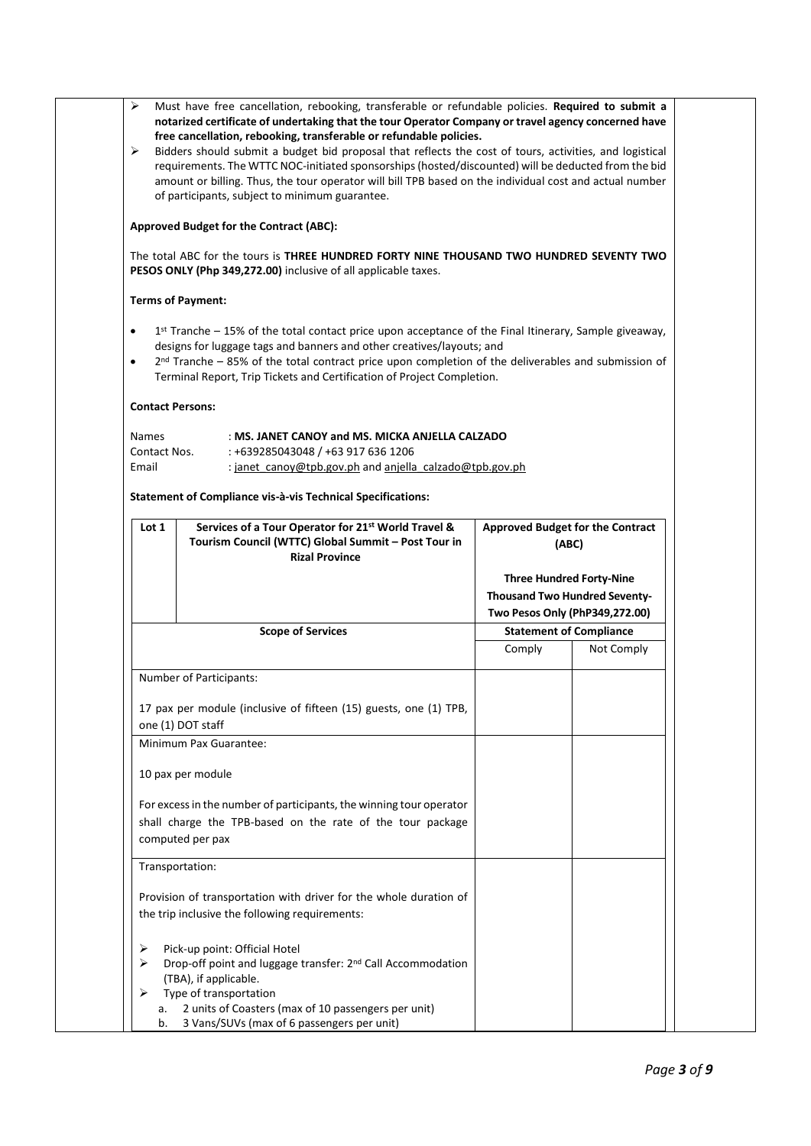| ➤                                     | Must have free cancellation, rebooking, transferable or refundable policies. Required to submit a<br>notarized certificate of undertaking that the tour Operator Company or travel agency concerned have<br>free cancellation, rebooking, transferable or refundable policies.<br>Bidders should submit a budget bid proposal that reflects the cost of tours, activities, and logistical<br>requirements. The WTTC NOC-initiated sponsorships (hosted/discounted) will be deducted from the bid<br>amount or billing. Thus, the tour operator will bill TPB based on the individual cost and actual number<br>of participants, subject to minimum guarantee. |        |                                                  |
|---------------------------------------|---------------------------------------------------------------------------------------------------------------------------------------------------------------------------------------------------------------------------------------------------------------------------------------------------------------------------------------------------------------------------------------------------------------------------------------------------------------------------------------------------------------------------------------------------------------------------------------------------------------------------------------------------------------|--------|--------------------------------------------------|
|                                       | Approved Budget for the Contract (ABC):                                                                                                                                                                                                                                                                                                                                                                                                                                                                                                                                                                                                                       |        |                                                  |
|                                       | The total ABC for the tours is THREE HUNDRED FORTY NINE THOUSAND TWO HUNDRED SEVENTY TWO<br>PESOS ONLY (Php 349,272.00) inclusive of all applicable taxes.                                                                                                                                                                                                                                                                                                                                                                                                                                                                                                    |        |                                                  |
|                                       | <b>Terms of Payment:</b>                                                                                                                                                                                                                                                                                                                                                                                                                                                                                                                                                                                                                                      |        |                                                  |
|                                       | $1st$ Tranche – 15% of the total contact price upon acceptance of the Final Itinerary, Sample giveaway,<br>designs for luggage tags and banners and other creatives/layouts; and<br>$2nd$ Tranche – 85% of the total contract price upon completion of the deliverables and submission of<br>Terminal Report, Trip Tickets and Certification of Project Completion.                                                                                                                                                                                                                                                                                           |        |                                                  |
| <b>Contact Persons:</b>               |                                                                                                                                                                                                                                                                                                                                                                                                                                                                                                                                                                                                                                                               |        |                                                  |
| <b>Names</b><br>Contact Nos.<br>Email | : MS. JANET CANOY and MS. MICKA ANJELLA CALZADO<br>: +639285043048 / +63 917 636 1206<br>: janet_canoy@tpb.gov.ph and anjella_calzado@tpb.gov.ph                                                                                                                                                                                                                                                                                                                                                                                                                                                                                                              |        |                                                  |
|                                       | Statement of Compliance vis-à-vis Technical Specifications:                                                                                                                                                                                                                                                                                                                                                                                                                                                                                                                                                                                                   |        |                                                  |
| Lot <sub>1</sub>                      | Services of a Tour Operator for 21 <sup>st</sup> World Travel &<br>Tourism Council (WTTC) Global Summit - Post Tour in<br><b>Rizal Province</b>                                                                                                                                                                                                                                                                                                                                                                                                                                                                                                               |        | <b>Approved Budget for the Contract</b><br>(ABC) |
|                                       |                                                                                                                                                                                                                                                                                                                                                                                                                                                                                                                                                                                                                                                               |        |                                                  |
|                                       |                                                                                                                                                                                                                                                                                                                                                                                                                                                                                                                                                                                                                                                               |        | <b>Three Hundred Forty-Nine</b>                  |
|                                       |                                                                                                                                                                                                                                                                                                                                                                                                                                                                                                                                                                                                                                                               |        | <b>Thousand Two Hundred Seventy-</b>             |
|                                       |                                                                                                                                                                                                                                                                                                                                                                                                                                                                                                                                                                                                                                                               |        | Two Pesos Only (PhP349,272.00)                   |
|                                       | <b>Scope of Services</b>                                                                                                                                                                                                                                                                                                                                                                                                                                                                                                                                                                                                                                      | Comply | <b>Statement of Compliance</b><br>Not Comply     |
|                                       | Number of Participants:                                                                                                                                                                                                                                                                                                                                                                                                                                                                                                                                                                                                                                       |        |                                                  |
|                                       | 17 pax per module (inclusive of fifteen (15) guests, one (1) TPB,                                                                                                                                                                                                                                                                                                                                                                                                                                                                                                                                                                                             |        |                                                  |
| one (1) DOT staff                     | Minimum Pax Guarantee:                                                                                                                                                                                                                                                                                                                                                                                                                                                                                                                                                                                                                                        |        |                                                  |
|                                       | 10 pax per module                                                                                                                                                                                                                                                                                                                                                                                                                                                                                                                                                                                                                                             |        |                                                  |
|                                       | For excess in the number of participants, the winning tour operator<br>shall charge the TPB-based on the rate of the tour package<br>computed per pax                                                                                                                                                                                                                                                                                                                                                                                                                                                                                                         |        |                                                  |
| Transportation:                       |                                                                                                                                                                                                                                                                                                                                                                                                                                                                                                                                                                                                                                                               |        |                                                  |
|                                       | Provision of transportation with driver for the whole duration of<br>the trip inclusive the following requirements:                                                                                                                                                                                                                                                                                                                                                                                                                                                                                                                                           |        |                                                  |
| ➤<br>⋗                                | Pick-up point: Official Hotel<br>Drop-off point and luggage transfer: 2 <sup>nd</sup> Call Accommodation                                                                                                                                                                                                                                                                                                                                                                                                                                                                                                                                                      |        |                                                  |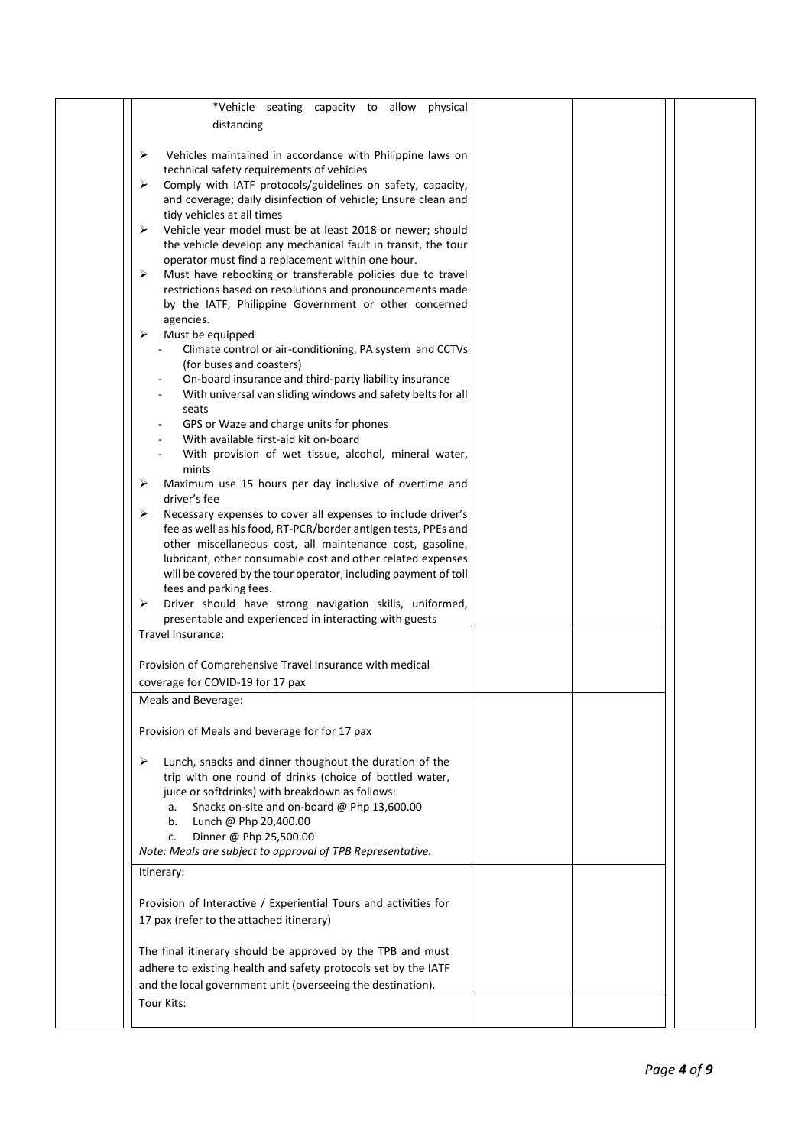| *Vehicle seating capacity to allow<br>physical                    |  |
|-------------------------------------------------------------------|--|
| distancing                                                        |  |
|                                                                   |  |
| ➤<br>Vehicles maintained in accordance with Philippine laws on    |  |
| technical safety requirements of vehicles                         |  |
| Comply with IATF protocols/guidelines on safety, capacity,<br>➤   |  |
| and coverage; daily disinfection of vehicle; Ensure clean and     |  |
| tidy vehicles at all times                                        |  |
|                                                                   |  |
| Vehicle year model must be at least 2018 or newer; should<br>➤    |  |
| the vehicle develop any mechanical fault in transit, the tour     |  |
| operator must find a replacement within one hour.                 |  |
| Must have rebooking or transferable policies due to travel<br>➤   |  |
| restrictions based on resolutions and pronouncements made         |  |
| by the IATF, Philippine Government or other concerned             |  |
| agencies.                                                         |  |
| ➤<br>Must be equipped                                             |  |
| Climate control or air-conditioning, PA system and CCTVs          |  |
| (for buses and coasters)                                          |  |
| On-board insurance and third-party liability insurance            |  |
| With universal van sliding windows and safety belts for all       |  |
| seats                                                             |  |
| GPS or Waze and charge units for phones                           |  |
| With available first-aid kit on-board                             |  |
| With provision of wet tissue, alcohol, mineral water,             |  |
| mints                                                             |  |
| Maximum use 15 hours per day inclusive of overtime and<br>➤       |  |
| driver's fee                                                      |  |
|                                                                   |  |
| Necessary expenses to cover all expenses to include driver's<br>➤ |  |
| fee as well as his food, RT-PCR/border antigen tests, PPEs and    |  |
| other miscellaneous cost, all maintenance cost, gasoline,         |  |
| lubricant, other consumable cost and other related expenses       |  |
| will be covered by the tour operator, including payment of toll   |  |
| fees and parking fees.                                            |  |
| Driver should have strong navigation skills, uniformed,<br>➤      |  |
| presentable and experienced in interacting with guests            |  |
| Travel Insurance:                                                 |  |
|                                                                   |  |
| Provision of Comprehensive Travel Insurance with medical          |  |
| coverage for COVID-19 for 17 pax                                  |  |
| Meals and Beverage:                                               |  |
|                                                                   |  |
|                                                                   |  |
| Provision of Meals and beverage for for 17 pax                    |  |
|                                                                   |  |
| Lunch, snacks and dinner thoughout the duration of the<br>➤       |  |
| trip with one round of drinks (choice of bottled water,           |  |
| juice or softdrinks) with breakdown as follows:                   |  |
| Snacks on-site and on-board @ Php 13,600.00<br>a.                 |  |
| Lunch @ Php 20,400.00<br>b.                                       |  |
| Dinner @ Php 25,500.00<br>c.                                      |  |
| Note: Meals are subject to approval of TPB Representative.        |  |
|                                                                   |  |
| Itinerary:                                                        |  |
|                                                                   |  |
| Provision of Interactive / Experiential Tours and activities for  |  |
| 17 pax (refer to the attached itinerary)                          |  |
|                                                                   |  |
| The final itinerary should be approved by the TPB and must        |  |
| adhere to existing health and safety protocols set by the IATF    |  |
| and the local government unit (overseeing the destination).       |  |
| Tour Kits:                                                        |  |
|                                                                   |  |
|                                                                   |  |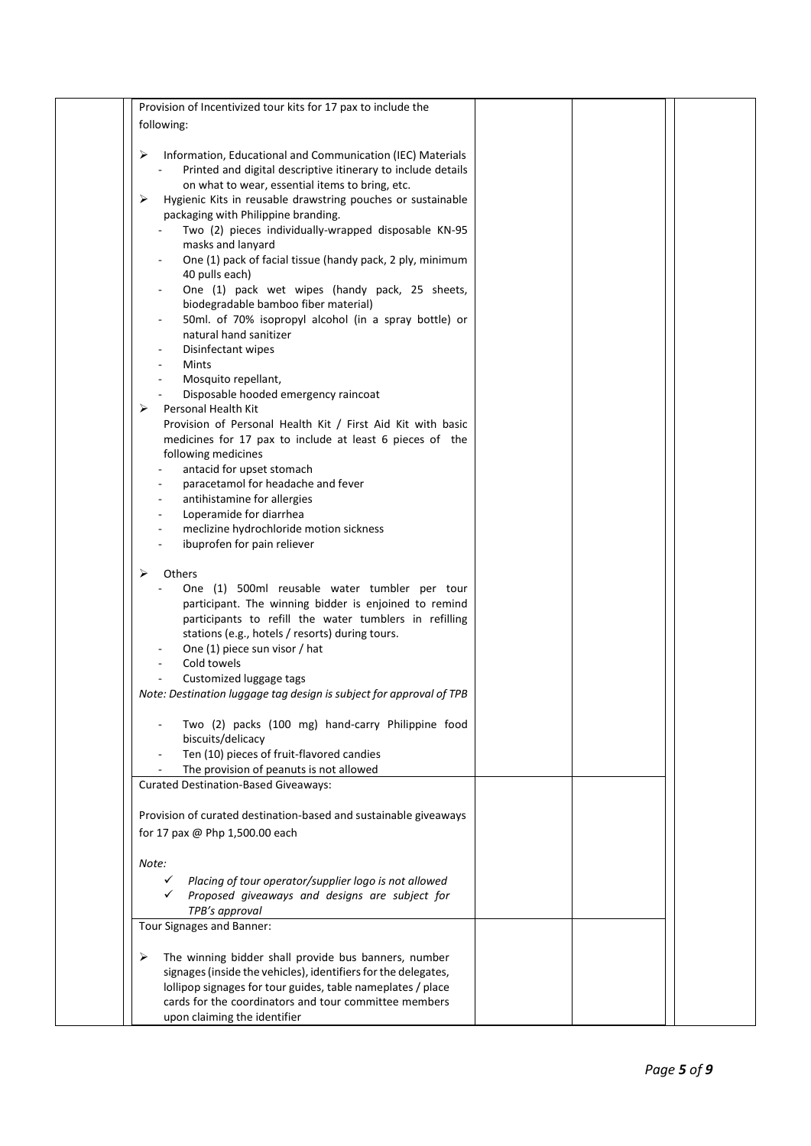| Provision of Incentivized tour kits for 17 pax to include the       |  |  |
|---------------------------------------------------------------------|--|--|
| following:                                                          |  |  |
|                                                                     |  |  |
| ➤<br>Information, Educational and Communication (IEC) Materials     |  |  |
| Printed and digital descriptive itinerary to include details        |  |  |
| on what to wear, essential items to bring, etc.                     |  |  |
| Hygienic Kits in reusable drawstring pouches or sustainable<br>➤    |  |  |
| packaging with Philippine branding.                                 |  |  |
| Two (2) pieces individually-wrapped disposable KN-95                |  |  |
| masks and lanyard                                                   |  |  |
| One (1) pack of facial tissue (handy pack, 2 ply, minimum           |  |  |
| 40 pulls each)                                                      |  |  |
| One (1) pack wet wipes (handy pack, 25 sheets,                      |  |  |
| biodegradable bamboo fiber material)                                |  |  |
| 50ml. of 70% isopropyl alcohol (in a spray bottle) or               |  |  |
| natural hand sanitizer                                              |  |  |
|                                                                     |  |  |
| Disinfectant wipes                                                  |  |  |
| <b>Mints</b>                                                        |  |  |
| Mosquito repellant,                                                 |  |  |
| Disposable hooded emergency raincoat                                |  |  |
| Personal Health Kit<br>➤                                            |  |  |
| Provision of Personal Health Kit / First Aid Kit with basic         |  |  |
| medicines for 17 pax to include at least 6 pieces of the            |  |  |
| following medicines                                                 |  |  |
| antacid for upset stomach                                           |  |  |
| paracetamol for headache and fever                                  |  |  |
| antihistamine for allergies<br>$\overline{\phantom{a}}$             |  |  |
| Loperamide for diarrhea                                             |  |  |
| meclizine hydrochloride motion sickness                             |  |  |
| ibuprofen for pain reliever                                         |  |  |
|                                                                     |  |  |
| Others<br>➤                                                         |  |  |
| One (1) 500ml reusable water tumbler per tour                       |  |  |
| participant. The winning bidder is enjoined to remind               |  |  |
| participants to refill the water tumblers in refilling              |  |  |
| stations (e.g., hotels / resorts) during tours.                     |  |  |
| One (1) piece sun visor / hat                                       |  |  |
| Cold towels                                                         |  |  |
| Customized luggage tags                                             |  |  |
|                                                                     |  |  |
| Note: Destination luggage tag design is subject for approval of TPB |  |  |
|                                                                     |  |  |
| Two (2) packs (100 mg) hand-carry Philippine food                   |  |  |
| biscuits/delicacy                                                   |  |  |
| Ten (10) pieces of fruit-flavored candies                           |  |  |
| The provision of peanuts is not allowed                             |  |  |
| <b>Curated Destination-Based Giveaways:</b>                         |  |  |
|                                                                     |  |  |
| Provision of curated destination-based and sustainable giveaways    |  |  |
| for 17 pax @ Php 1,500.00 each                                      |  |  |
|                                                                     |  |  |
| Note:                                                               |  |  |
| Placing of tour operator/supplier logo is not allowed<br>✓          |  |  |
| Proposed giveaways and designs are subject for                      |  |  |
| TPB's approval                                                      |  |  |
|                                                                     |  |  |
| Tour Signages and Banner:                                           |  |  |
|                                                                     |  |  |
| ➤<br>The winning bidder shall provide bus banners, number           |  |  |
| signages (inside the vehicles), identifiers for the delegates,      |  |  |
| lollipop signages for tour guides, table nameplates / place         |  |  |
| cards for the coordinators and tour committee members               |  |  |
| upon claiming the identifier                                        |  |  |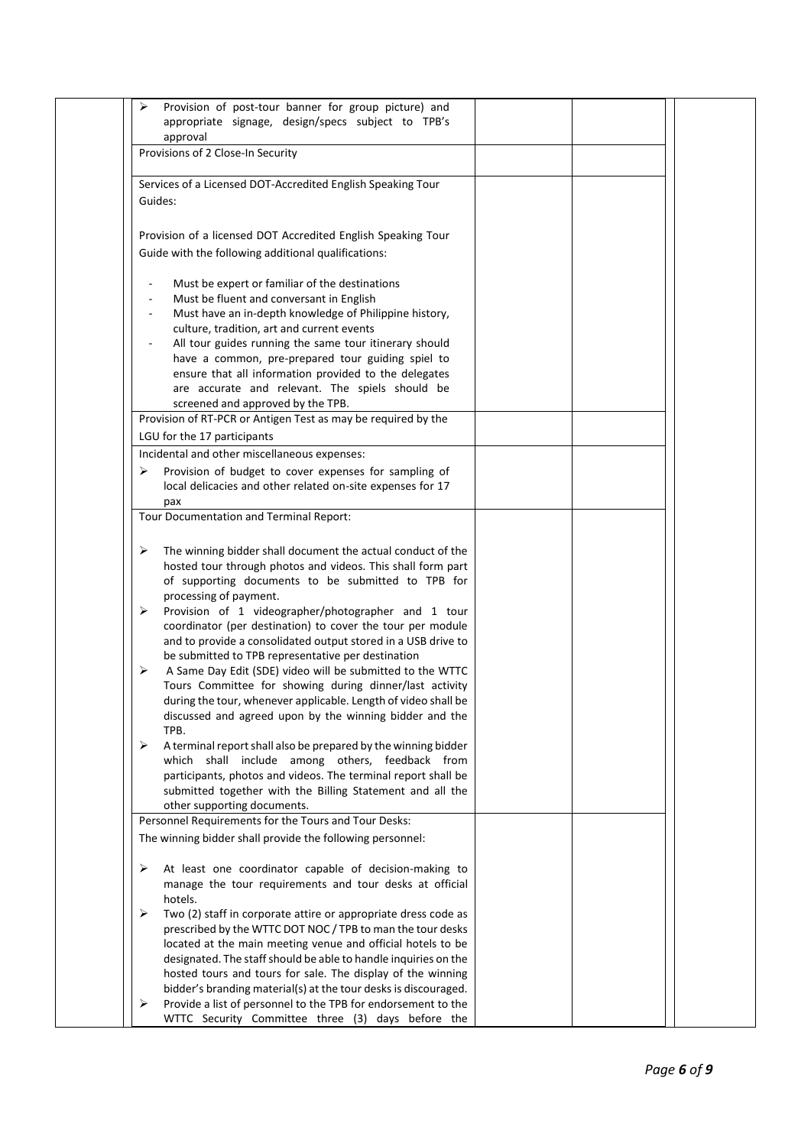| ➤      | Provision of post-tour banner for group picture) and<br>appropriate signage, design/specs subject to TPB's                                                                                                                                                                                                                                                                                                                                                         |  |  |
|--------|--------------------------------------------------------------------------------------------------------------------------------------------------------------------------------------------------------------------------------------------------------------------------------------------------------------------------------------------------------------------------------------------------------------------------------------------------------------------|--|--|
|        | approval<br>Provisions of 2 Close-In Security                                                                                                                                                                                                                                                                                                                                                                                                                      |  |  |
|        |                                                                                                                                                                                                                                                                                                                                                                                                                                                                    |  |  |
|        | Services of a Licensed DOT-Accredited English Speaking Tour<br>Guides:                                                                                                                                                                                                                                                                                                                                                                                             |  |  |
|        | Provision of a licensed DOT Accredited English Speaking Tour<br>Guide with the following additional qualifications:                                                                                                                                                                                                                                                                                                                                                |  |  |
|        | Must be expert or familiar of the destinations<br>Must be fluent and conversant in English<br>Must have an in-depth knowledge of Philippine history,<br>culture, tradition, art and current events<br>All tour guides running the same tour itinerary should<br>have a common, pre-prepared tour guiding spiel to<br>ensure that all information provided to the delegates<br>are accurate and relevant. The spiels should be<br>screened and approved by the TPB. |  |  |
|        | Provision of RT-PCR or Antigen Test as may be required by the                                                                                                                                                                                                                                                                                                                                                                                                      |  |  |
|        | LGU for the 17 participants                                                                                                                                                                                                                                                                                                                                                                                                                                        |  |  |
| ➤      | Incidental and other miscellaneous expenses:<br>Provision of budget to cover expenses for sampling of<br>local delicacies and other related on-site expenses for 17<br>pax                                                                                                                                                                                                                                                                                         |  |  |
|        | Tour Documentation and Terminal Report:                                                                                                                                                                                                                                                                                                                                                                                                                            |  |  |
| ➤<br>➤ | The winning bidder shall document the actual conduct of the<br>hosted tour through photos and videos. This shall form part<br>of supporting documents to be submitted to TPB for<br>processing of payment.<br>Provision of 1 videographer/photographer and 1 tour<br>coordinator (per destination) to cover the tour per module                                                                                                                                    |  |  |
| ➤      | and to provide a consolidated output stored in a USB drive to<br>be submitted to TPB representative per destination<br>A Same Day Edit (SDE) video will be submitted to the WTTC<br>Tours Committee for showing during dinner/last activity<br>during the tour, whenever applicable. Length of video shall be<br>discussed and agreed upon by the winning bidder and the<br>TPB.                                                                                   |  |  |
| ➤      | A terminal report shall also be prepared by the winning bidder<br>which shall include among others, feedback from<br>participants, photos and videos. The terminal report shall be<br>submitted together with the Billing Statement and all the<br>other supporting documents.                                                                                                                                                                                     |  |  |
|        | Personnel Requirements for the Tours and Tour Desks:                                                                                                                                                                                                                                                                                                                                                                                                               |  |  |
|        | The winning bidder shall provide the following personnel:                                                                                                                                                                                                                                                                                                                                                                                                          |  |  |
| ➤      | At least one coordinator capable of decision-making to<br>manage the tour requirements and tour desks at official<br>hotels.                                                                                                                                                                                                                                                                                                                                       |  |  |
| ➤      | Two (2) staff in corporate attire or appropriate dress code as<br>prescribed by the WTTC DOT NOC / TPB to man the tour desks<br>located at the main meeting venue and official hotels to be<br>designated. The staff should be able to handle inquiries on the<br>hosted tours and tours for sale. The display of the winning                                                                                                                                      |  |  |
| ➤      | bidder's branding material(s) at the tour desks is discouraged.<br>Provide a list of personnel to the TPB for endorsement to the<br>WTTC Security Committee three (3) days before the                                                                                                                                                                                                                                                                              |  |  |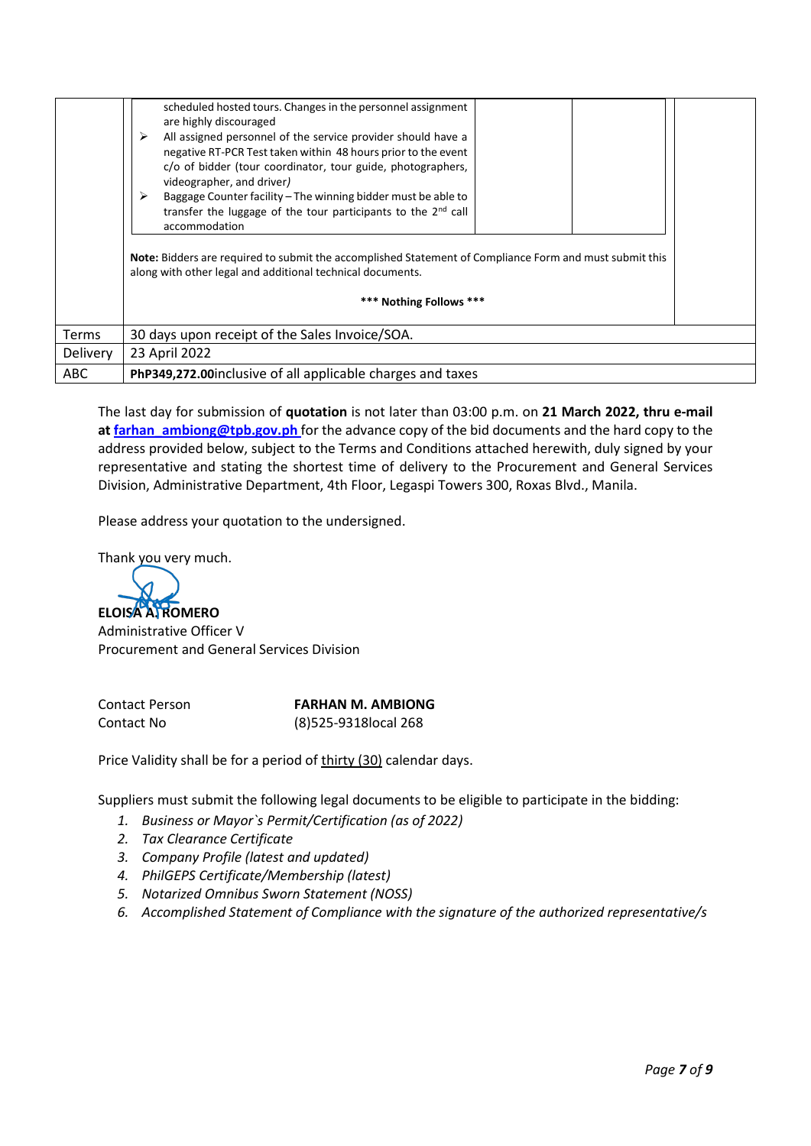|                 | scheduled hosted tours. Changes in the personnel assignment<br>are highly discouraged<br>➤<br>All assigned personnel of the service provider should have a<br>negative RT-PCR Test taken within 48 hours prior to the event<br>c/o of bidder (tour coordinator, tour guide, photographers,<br>videographer, and driver)<br>➤<br>Baggage Counter facility – The winning bidder must be able to<br>transfer the luggage of the tour participants to the 2 <sup>nd</sup> call<br>accommodation<br>Note: Bidders are required to submit the accomplished Statement of Compliance Form and must submit this<br>along with other legal and additional technical documents.<br>*** Nothing Follows *** |
|-----------------|-------------------------------------------------------------------------------------------------------------------------------------------------------------------------------------------------------------------------------------------------------------------------------------------------------------------------------------------------------------------------------------------------------------------------------------------------------------------------------------------------------------------------------------------------------------------------------------------------------------------------------------------------------------------------------------------------|
| Terms           | 30 days upon receipt of the Sales Invoice/SOA.                                                                                                                                                                                                                                                                                                                                                                                                                                                                                                                                                                                                                                                  |
| <b>Delivery</b> | 23 April 2022                                                                                                                                                                                                                                                                                                                                                                                                                                                                                                                                                                                                                                                                                   |
| <b>ABC</b>      | PhP349,272.00 inclusive of all applicable charges and taxes                                                                                                                                                                                                                                                                                                                                                                                                                                                                                                                                                                                                                                     |

The last day for submission of **quotation** is not later than 03:00 p.m. on **21 March 2022, thru e-mail at [farhan\\_ambiong@tpb.gov.ph](mailto:farhan_ambiong@tpb.gov.ph)** for the advance copy of the bid documents and the hard copy to the address provided below, subject to the Terms and Conditions attached herewith, duly signed by your representative and stating the shortest time of delivery to the Procurement and General Services Division, Administrative Department, 4th Floor, Legaspi Towers 300, Roxas Blvd., Manila.

Please address your quotation to the undersigned.

Thank you very much.

**ELOISA A. ROMERO**

Administrative Officer V Procurement and General Services Division

Contact Person **FARHAN M. AMBIONG** Contact No (8)525-9318local 268

Price Validity shall be for a period of thirty (30) calendar days.

Suppliers must submit the following legal documents to be eligible to participate in the bidding:

- *1. Business or Mayor`s Permit/Certification (as of 2022)*
- *2. Tax Clearance Certificate*
- *3. Company Profile (latest and updated)*
- *4. PhilGEPS Certificate/Membership (latest)*
- *5. Notarized Omnibus Sworn Statement (NOSS)*
- *6. Accomplished Statement of Compliance with the signature of the authorized representative/s*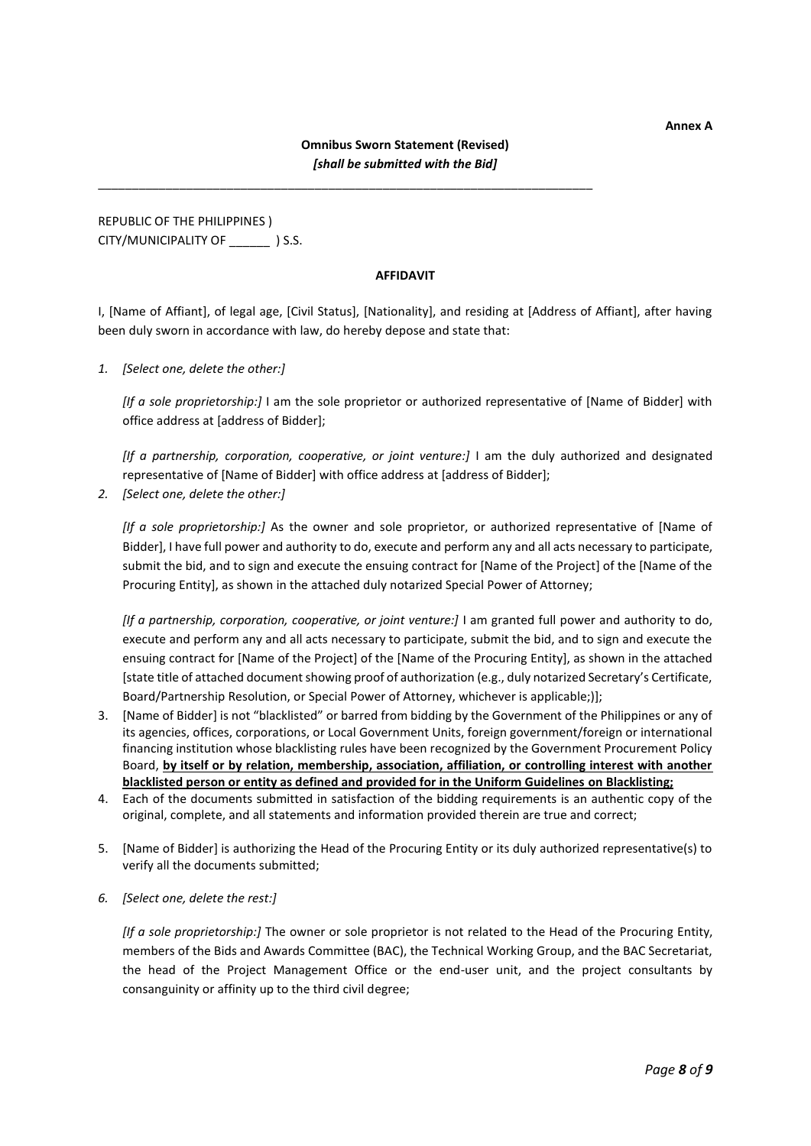# **Omnibus Sworn Statement (Revised)** *[shall be submitted with the Bid]*

\_\_\_\_\_\_\_\_\_\_\_\_\_\_\_\_\_\_\_\_\_\_\_\_\_\_\_\_\_\_\_\_\_\_\_\_\_\_\_\_\_\_\_\_\_\_\_\_\_\_\_\_\_\_\_\_\_\_\_\_\_\_\_\_\_\_\_\_\_\_\_\_\_

REPUBLIC OF THE PHILIPPINES ) CITY/MUNICIPALITY OF \_\_\_\_\_\_ ) S.S.

#### **AFFIDAVIT**

I, [Name of Affiant], of legal age, [Civil Status], [Nationality], and residing at [Address of Affiant], after having been duly sworn in accordance with law, do hereby depose and state that:

*1. [Select one, delete the other:]*

*[If a sole proprietorship:]* I am the sole proprietor or authorized representative of [Name of Bidder] with office address at [address of Bidder];

*[If a partnership, corporation, cooperative, or joint venture:]* I am the duly authorized and designated representative of [Name of Bidder] with office address at [address of Bidder];

*2. [Select one, delete the other:]*

*[If a sole proprietorship:]* As the owner and sole proprietor, or authorized representative of [Name of Bidder], I have full power and authority to do, execute and perform any and all acts necessary to participate, submit the bid, and to sign and execute the ensuing contract for [Name of the Project] of the [Name of the Procuring Entity], as shown in the attached duly notarized Special Power of Attorney;

*[If a partnership, corporation, cooperative, or joint venture:]* I am granted full power and authority to do, execute and perform any and all acts necessary to participate, submit the bid, and to sign and execute the ensuing contract for [Name of the Project] of the [Name of the Procuring Entity], as shown in the attached [state title of attached document showing proof of authorization (e.g., duly notarized Secretary's Certificate, Board/Partnership Resolution, or Special Power of Attorney, whichever is applicable;)];

- 3. [Name of Bidder] is not "blacklisted" or barred from bidding by the Government of the Philippines or any of its agencies, offices, corporations, or Local Government Units, foreign government/foreign or international financing institution whose blacklisting rules have been recognized by the Government Procurement Policy Board, **by itself or by relation, membership, association, affiliation, or controlling interest with another blacklisted person or entity as defined and provided for in the Uniform Guidelines on Blacklisting;**
- 4. Each of the documents submitted in satisfaction of the bidding requirements is an authentic copy of the original, complete, and all statements and information provided therein are true and correct;
- 5. [Name of Bidder] is authorizing the Head of the Procuring Entity or its duly authorized representative(s) to verify all the documents submitted;
- *6. [Select one, delete the rest:]*

*[If a sole proprietorship:]* The owner or sole proprietor is not related to the Head of the Procuring Entity, members of the Bids and Awards Committee (BAC), the Technical Working Group, and the BAC Secretariat, the head of the Project Management Office or the end-user unit, and the project consultants by consanguinity or affinity up to the third civil degree;